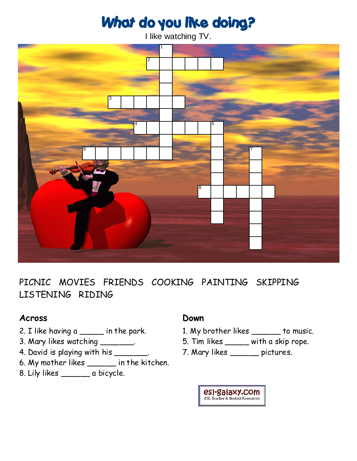# What do you like doing?

I like watching TV.



PICNIC MOVIES FRIENDS COOKING PAINTING SKIPPING LISTENING RIDING

### **Across**

- 2. I like having a \_\_\_\_\_ in the park.
- 3. Mary likes watching \_\_\_\_\_\_\_\_.
- 4. David is playing with his \_\_\_\_\_\_\_\_.
- 6. My mother likes \_\_\_\_\_\_ in the kitchen.
- 8. Lily likes \_\_\_\_\_\_ a bicycle.

### **Down**

- 1. My brother likes \_\_\_\_\_\_ to music.
- 5. Tim likes \_\_\_\_\_ with a skip rope.
- 7. Mary likes \_\_\_\_\_\_ pictures.